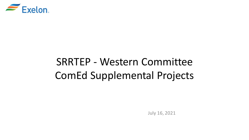

# SRRTEP - Western Committee ComEd Supplemental Projects

July 16, 2021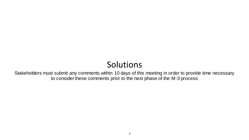# Solutions

Stakeholders must submit any comments within 10 days of this meeting in order to provide time necessary to consider these comments prior to the next phase of the M-3 process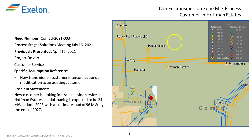

## ComEd Transmission Zone M-3 Process Customer in Hoffman Estates

**Need Number:** ComEd-2021-003

**Process Stage:** Solutions Meeting July 16, 2021

**Previously Presented:** April 16, 2021

**Project Driver:** 

Customer Service

#### **Specific Assumption Reference:**

• New transmission customer interconnections or modification to an existing customer

#### **Problem Statement:**

New customer is looking for transmission service in Hoffman Estates. Initial loading is expected to be 24 MW in June 2023 with an ultimate load of 96 MW by the end of 2027.

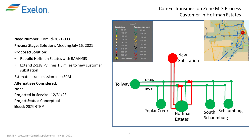

## ComEd Transmission Zone M-3 Process Customer in Hoffman Estates

**Need Number:** ComEd-2021-003

**Process Stage:** Solutions Meeting July 16, 2021

#### **Proposed Solution:**

- Rebuild Hoffman Estates with BAAH GIS
- Extend 2-138 kV lines 1.5 miles to new customer substation

Estimated transmission cost: \$0M

#### **Alternatives Considered:**

None

**Projected In-Service:** 12/31/23

**Project Status:** Conceptual

**Model:** 2026 RTEP

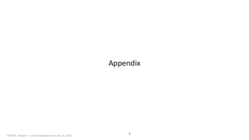# Appendix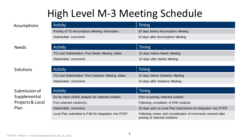# High Level M-3 Meeting Schedule

| <b>Activity</b>                               | Timing                             |
|-----------------------------------------------|------------------------------------|
| Posting of TO Assumptions Meeting information | 20 days before Assumptions Meeting |
| Stakeholder comments                          | 10 days after Assumptions Meeting  |

### Needs

### Solutions

### Submission of Supplemental Projects & Local Plan

| <b>Activity</b>                                | Timing                       |
|------------------------------------------------|------------------------------|
| TOs and Stakeholders Post Needs Meeting slides | 10 days before Needs Meeting |
| Stakeholder comments                           | 10 days after Needs Meeting  |
|                                                |                              |
| <b>Activity</b>                                | Timing                       |

| <b>TELLIVILY</b>                                   |                                  |
|----------------------------------------------------|----------------------------------|
| TOs and Stakeholders Post Solutions Meeting slides | 10 days before Solutions Meeting |
| Stakeholder comments                               | 10 days after Solutions Meeting  |

| <b>Activity</b>                                       | Timing                                                                                         |
|-------------------------------------------------------|------------------------------------------------------------------------------------------------|
| Do No Harm (DNH) analysis for selected solution       | Prior to posting selected solution                                                             |
| Post selected solution(s)                             | Following completion of DNH analysis                                                           |
| Stakeholder comments                                  | 10 days prior to Local Plan Submission for integration into RTEP                               |
| Local Plan submitted to PJM for integration into RTEP | Following review and consideration of comments received after<br>posting of selected solutions |